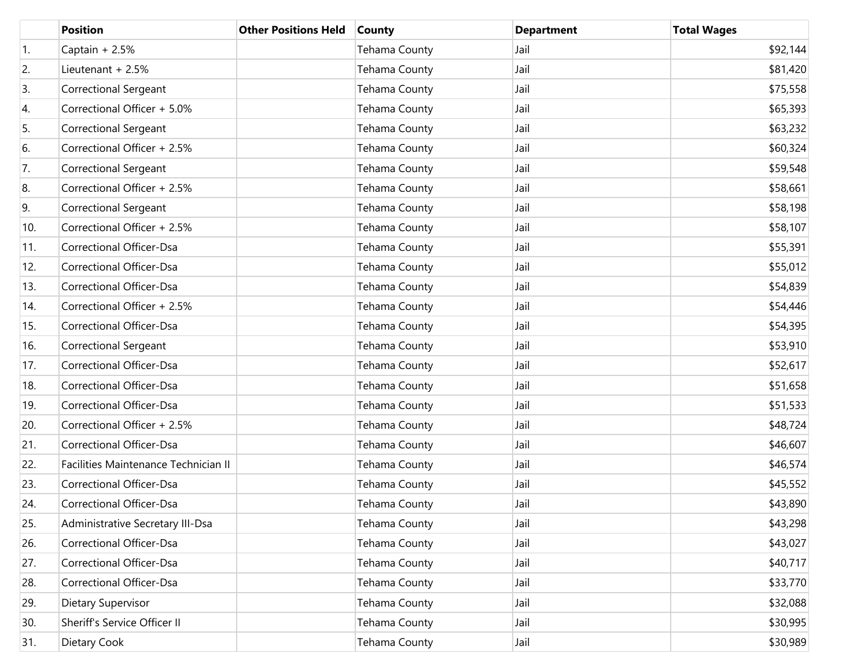|                  | <b>Position</b>                      | <b>Other Positions Held</b> | <b>County</b> | <b>Department</b> | <b>Total Wages</b> |
|------------------|--------------------------------------|-----------------------------|---------------|-------------------|--------------------|
| $\overline{1}$ . | Captain + 2.5%                       |                             | Tehama County | Jail              | \$92,144           |
| 2.               | Lieutenant + 2.5%                    |                             | Tehama County | Jail              | \$81,420           |
| 3.               | <b>Correctional Sergeant</b>         |                             | Tehama County | Jail              | \$75,558           |
| 4.               | Correctional Officer + 5.0%          |                             | Tehama County | Jail              | \$65,393           |
| 5.               | <b>Correctional Sergeant</b>         |                             | Tehama County | Jail              | \$63,232           |
| 6.               | Correctional Officer + 2.5%          |                             | Tehama County | Jail              | \$60,324           |
| 7.               | <b>Correctional Sergeant</b>         |                             | Tehama County | Jail              | \$59,548           |
| 8.               | Correctional Officer + 2.5%          |                             | Tehama County | Jail              | \$58,661           |
| 9.               | <b>Correctional Sergeant</b>         |                             | Tehama County | Jail              | \$58,198           |
| 10.              | Correctional Officer + 2.5%          |                             | Tehama County | Jail              | \$58,107           |
| 11.              | Correctional Officer-Dsa             |                             | Tehama County | Jail              | \$55,391           |
| 12.              | Correctional Officer-Dsa             |                             | Tehama County | Jail              | \$55,012           |
| 13.              | Correctional Officer-Dsa             |                             | Tehama County | Jail              | \$54,839           |
| 14.              | Correctional Officer + 2.5%          |                             | Tehama County | Jail              | \$54,446           |
| 15.              | Correctional Officer-Dsa             |                             | Tehama County | Jail              | \$54,395           |
| 16.              | <b>Correctional Sergeant</b>         |                             | Tehama County | Jail              | \$53,910           |
| 17.              | Correctional Officer-Dsa             |                             | Tehama County | Jail              | \$52,617           |
| 18.              | Correctional Officer-Dsa             |                             | Tehama County | Jail              | \$51,658           |
| 19.              | Correctional Officer-Dsa             |                             | Tehama County | Jail              | \$51,533           |
| 20.              | Correctional Officer + 2.5%          |                             | Tehama County | Jail              | \$48,724           |
| 21.              | Correctional Officer-Dsa             |                             | Tehama County | Jail              | \$46,607           |
| 22.              | Facilities Maintenance Technician II |                             | Tehama County | Jail              | \$46,574           |
| 23.              | Correctional Officer-Dsa             |                             | Tehama County | Jail              | \$45,552           |
| 24.              | <b>Correctional Officer-Dsa</b>      |                             | Tehama County | Jail              | \$43,890           |
| 25.              | Administrative Secretary III-Dsa     |                             | Tehama County | Jail              | \$43,298           |
| 26.              | Correctional Officer-Dsa             |                             | Tehama County | Jail              | \$43,027           |
| 27.              | Correctional Officer-Dsa             |                             | Tehama County | Jail              | \$40,717           |
| 28.              | Correctional Officer-Dsa             |                             | Tehama County | Jail              | \$33,770           |
| 29.              | Dietary Supervisor                   |                             | Tehama County | Jail              | \$32,088           |
| 30.              | Sheriff's Service Officer II         |                             | Tehama County | Jail              | \$30,995           |
| 31.              | Dietary Cook                         |                             | Tehama County | Jail              | \$30,989           |